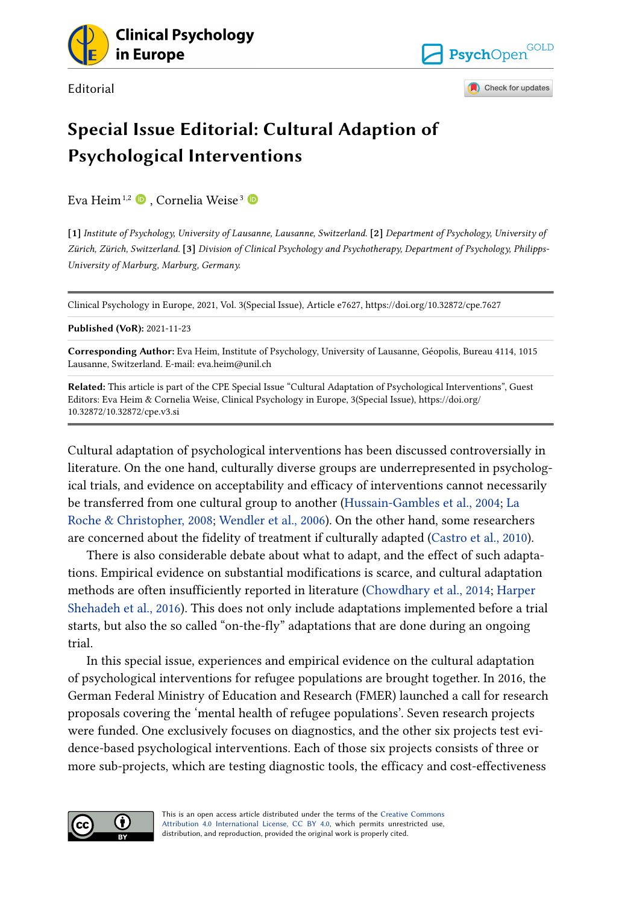

Editorial



Check for updates

## **Special Issue Editorial: Cultural Adaption of Psychological Interventions**

Eva Heim<sup>1[,](https://orcid.org/0000-0001-7434-7451)2</sup>  $\bullet$  , Cornelia Weise<sup>[3](https://orcid.org/0000-0001-5216-1031)</sup>  $\bullet$ 

**[1]** *Institute of Psychology, University of Lausanne, Lausanne, Switzerland.* **[2]** *Department of Psychology, University of Zürich, Zürich, Switzerland.* **[3]** *Division of Clinical Psychology and Psychotherapy, Department of Psychology, Philipps-University of Marburg, Marburg, Germany.* 

Clinical Psychology in Europe, 2021, Vol. 3(Special Issue), Article e7627, https://doi.org/10.32872/cpe.7627

## **Published (VoR):** 2021-11-23

**Corresponding Author:** Eva Heim, Institute of Psychology, University of Lausanne, Géopolis, Bureau 4114, 1015 Lausanne, Switzerland. E-mail: eva.heim@unil.ch

**Related:** This article is part of the CPE Special Issue "Cultural Adaptation of Psychological Interventions", Guest Editors: Eva Heim & Cornelia Weise, Clinical Psychology in Europe, 3(Special Issue), https://doi.org/ 10.32872/10.32872/cpe.v3.si

Cultural adaptation of psychological interventions has been discussed controversially in literature. On the one hand, culturally diverse groups are underrepresented in psychological trials, and evidence on acceptability and efficacy of interventions cannot necessarily be transferred from one cultural group to another [\(Hussain-Gambles et al., 2004](#page-3-0); [La](#page-3-0)  [Roche & Christopher, 2008](#page-3-0); [Wendler et al., 2006\)](#page-4-0). On the other hand, some researchers are concerned about the fidelity of treatment if culturally adapted ([Castro et al., 2010\)](#page-3-0).

There is also considerable debate about what to adapt, and the effect of such adaptations. Empirical evidence on substantial modifications is scarce, and cultural adaptation methods are often insufficiently reported in literature [\(Chowdhary et al., 2014](#page-3-0); [Harper](#page-3-0)  [Shehadeh et al., 2016\)](#page-3-0). This does not only include adaptations implemented before a trial starts, but also the so called "on-the-fly" adaptations that are done during an ongoing trial.

In this special issue, experiences and empirical evidence on the cultural adaptation of psychological interventions for refugee populations are brought together. In 2016, the German Federal Ministry of Education and Research (FMER) launched a call for research proposals covering the 'mental health of refugee populations'. Seven research projects were funded. One exclusively focuses on diagnostics, and the other six projects test evidence-based psychological interventions. Each of those six projects consists of three or more sub-projects, which are testing diagnostic tools, the efficacy and cost-effectiveness

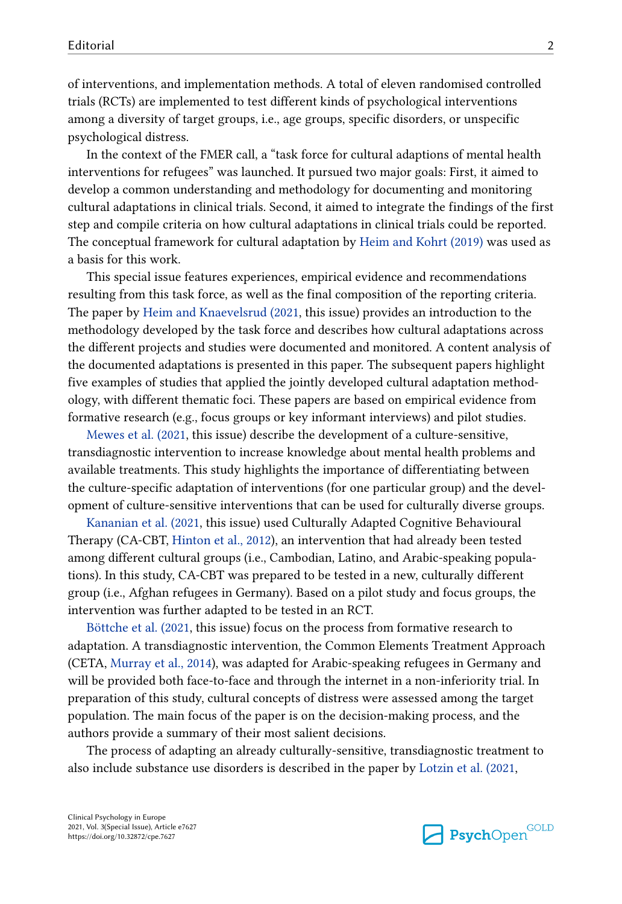of interventions, and implementation methods. A total of eleven randomised controlled trials (RCTs) are implemented to test different kinds of psychological interventions among a diversity of target groups, i.e., age groups, specific disorders, or unspecific psychological distress.

In the context of the FMER call, a "task force for cultural adaptions of mental health interventions for refugees" was launched. It pursued two major goals: First, it aimed to develop a common understanding and methodology for documenting and monitoring cultural adaptations in clinical trials. Second, it aimed to integrate the findings of the first step and compile criteria on how cultural adaptations in clinical trials could be reported. The conceptual framework for cultural adaptation by [Heim and Kohrt \(2019\)](#page-3-0) was used as a basis for this work.

This special issue features experiences, empirical evidence and recommendations resulting from this task force, as well as the final composition of the reporting criteria. The paper by [Heim and Knaevelsrud \(2021,](#page-3-0) this issue) provides an introduction to the methodology developed by the task force and describes how cultural adaptations across the different projects and studies were documented and monitored. A content analysis of the documented adaptations is presented in this paper. The subsequent papers highlight five examples of studies that applied the jointly developed cultural adaptation methodology, with different thematic foci. These papers are based on empirical evidence from formative research (e.g., focus groups or key informant interviews) and pilot studies.

[Mewes et al. \(2021,](#page-4-0) this issue) describe the development of a culture-sensitive, transdiagnostic intervention to increase knowledge about mental health problems and available treatments. This study highlights the importance of differentiating between the culture-specific adaptation of interventions (for one particular group) and the development of culture-sensitive interventions that can be used for culturally diverse groups.

[Kananian et al. \(2021](#page-3-0), this issue) used Culturally Adapted Cognitive Behavioural Therapy (CA-CBT, [Hinton et al., 2012\)](#page-3-0), an intervention that had already been tested among different cultural groups (i.e., Cambodian, Latino, and Arabic-speaking populations). In this study, CA-CBT was prepared to be tested in a new, culturally different group (i.e., Afghan refugees in Germany). Based on a pilot study and focus groups, the intervention was further adapted to be tested in an RCT.

[Böttche et al. \(2021,](#page-2-0) this issue) focus on the process from formative research to adaptation. A transdiagnostic intervention, the Common Elements Treatment Approach (CETA, [Murray et al., 2014](#page-4-0)), was adapted for Arabic-speaking refugees in Germany and will be provided both face-to-face and through the internet in a non-inferiority trial. In preparation of this study, cultural concepts of distress were assessed among the target population. The main focus of the paper is on the decision-making process, and the authors provide a summary of their most salient decisions.

The process of adapting an already culturally-sensitive, transdiagnostic treatment to also include substance use disorders is described in the paper by [Lotzin et al. \(2021](#page-4-0),

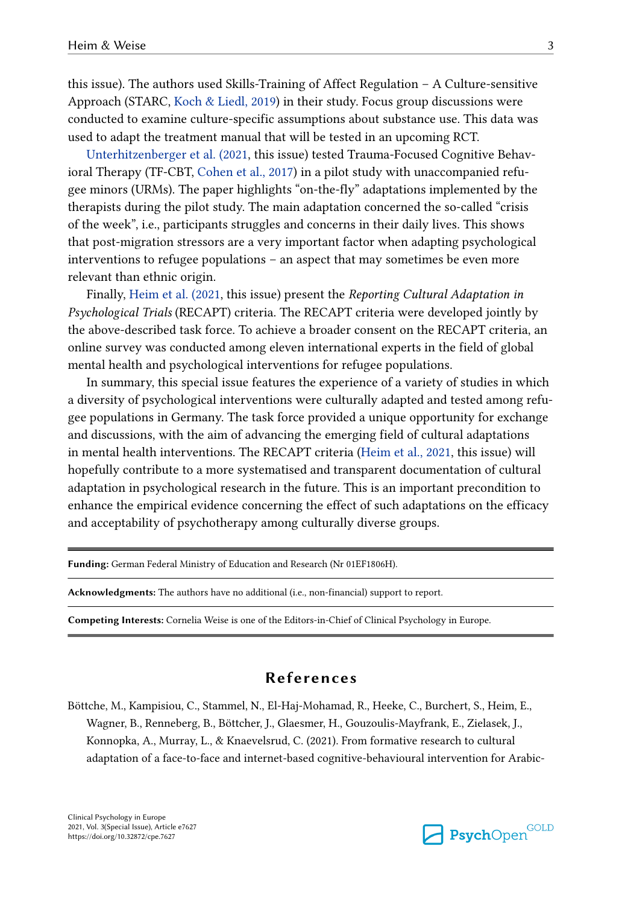<span id="page-2-0"></span>this issue). The authors used Skills-Training of Affect Regulation – A Culture-sensitive Approach (STARC, [Koch & Liedl, 2019\)](#page-3-0) in their study. Focus group discussions were conducted to examine culture-specific assumptions about substance use. This data was used to adapt the treatment manual that will be tested in an upcoming RCT.

[Unterhitzenberger et al. \(2021](#page-4-0), this issue) tested Trauma-Focused Cognitive Behavioral Therapy (TF-CBT, [Cohen et al., 2017\)](#page-3-0) in a pilot study with unaccompanied refugee minors (URMs). The paper highlights "on-the-fly" adaptations implemented by the therapists during the pilot study. The main adaptation concerned the so-called "crisis of the week", i.e., participants struggles and concerns in their daily lives. This shows that post-migration stressors are a very important factor when adapting psychological interventions to refugee populations – an aspect that may sometimes be even more relevant than ethnic origin.

Finally, [Heim et al. \(2021,](#page-3-0) this issue) present the *Reporting Cultural Adaptation in Psychological Trials* (RECAPT) criteria. The RECAPT criteria were developed jointly by the above-described task force. To achieve a broader consent on the RECAPT criteria, an online survey was conducted among eleven international experts in the field of global mental health and psychological interventions for refugee populations.

In summary, this special issue features the experience of a variety of studies in which a diversity of psychological interventions were culturally adapted and tested among refugee populations in Germany. The task force provided a unique opportunity for exchange and discussions, with the aim of advancing the emerging field of cultural adaptations in mental health interventions. The RECAPT criteria ([Heim et al., 2021](#page-3-0), this issue) will hopefully contribute to a more systematised and transparent documentation of cultural adaptation in psychological research in the future. This is an important precondition to enhance the empirical evidence concerning the effect of such adaptations on the efficacy and acceptability of psychotherapy among culturally diverse groups.

**Funding:** German Federal Ministry of Education and Research (Nr 01EF1806H).

**Acknowledgments:** The authors have no additional (i.e., non-financial) support to report.

**Competing Interests:** Cornelia Weise is one of the Editors-in-Chief of Clinical Psychology in Europe.

## **References**

Böttche, M., Kampisiou, C., Stammel, N., El-Haj-Mohamad, R., Heeke, C., Burchert, S., Heim, E., Wagner, B., Renneberg, B., Böttcher, J., Glaesmer, H., Gouzoulis-Mayfrank, E., Zielasek, J., Konnopka, A., Murray, L., & Knaevelsrud, C. (2021). From formative research to cultural adaptation of a face-to-face and internet-based cognitive-behavioural intervention for Arabic-

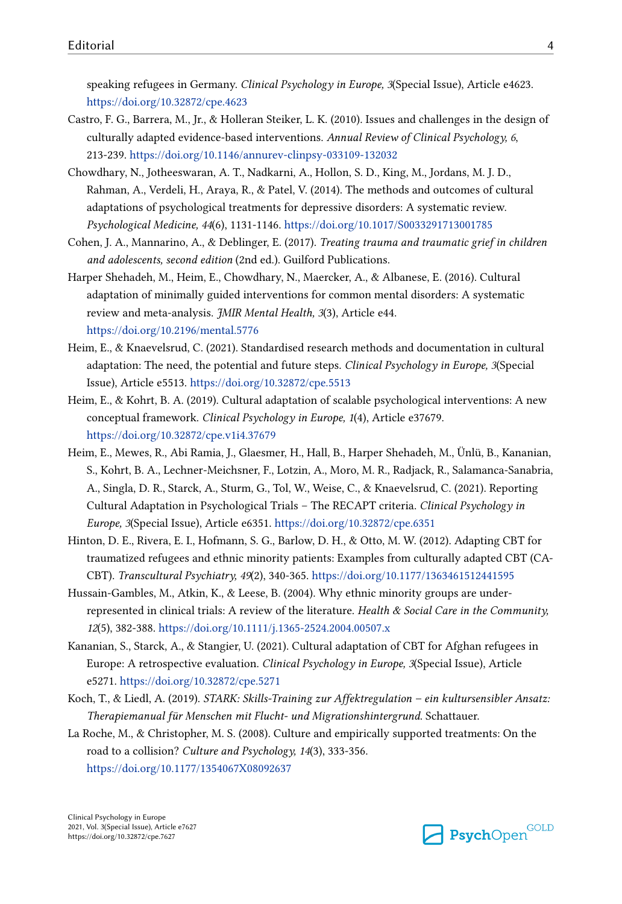<span id="page-3-0"></span>speaking refugees in Germany. *Clinical Psychology in Europe, 3*(Special Issue), Article e4623. <https://doi.org/10.32872/cpe.4623>

- Castro, F. G., Barrera, M., Jr., & Holleran Steiker, L. K. (2010). Issues and challenges in the design of culturally adapted evidence-based interventions. *Annual Review of Clinical Psychology, 6*, 213-239. <https://doi.org/10.1146/annurev-clinpsy-033109-132032>
- Chowdhary, N., Jotheeswaran, A. T., Nadkarni, A., Hollon, S. D., King, M., Jordans, M. J. D., Rahman, A., Verdeli, H., Araya, R., & Patel, V. (2014). The methods and outcomes of cultural adaptations of psychological treatments for depressive disorders: A systematic review. *Psychological Medicine, 44*(6), 1131-1146. <https://doi.org/10.1017/S0033291713001785>
- Cohen, J. A., Mannarino, A., & Deblinger, E. (2017). *Treating trauma and traumatic grief in children and adolescents, second edition* (2nd ed.). Guilford Publications.
- Harper Shehadeh, M., Heim, E., Chowdhary, N., Maercker, A., & Albanese, E. (2016). Cultural adaptation of minimally guided interventions for common mental disorders: A systematic review and meta-analysis. *JMIR Mental Health, 3*(3), Article e44. <https://doi.org/10.2196/mental.5776>
- Heim, E., & Knaevelsrud, C. (2021). Standardised research methods and documentation in cultural adaptation: The need, the potential and future steps. *Clinical Psychology in Europe, 3*(Special Issue), Article e5513. <https://doi.org/10.32872/cpe.5513>
- Heim, E., & Kohrt, B. A. (2019). Cultural adaptation of scalable psychological interventions: A new conceptual framework. *Clinical Psychology in Europe, 1*(4), Article e37679. <https://doi.org/10.32872/cpe.v1i4.37679>
- Heim, E., Mewes, R., Abi Ramia, J., Glaesmer, H., Hall, B., Harper Shehadeh, M., Ünlü, B., Kananian, S., Kohrt, B. A., Lechner-Meichsner, F., Lotzin, A., Moro, M. R., Radjack, R., Salamanca-Sanabria, A., Singla, D. R., Starck, A., Sturm, G., Tol, W., Weise, C., & Knaevelsrud, C. (2021). Reporting Cultural Adaptation in Psychological Trials – The RECAPT criteria. *Clinical Psychology in Europe, 3*(Special Issue), Article e6351. <https://doi.org/10.32872/cpe.6351>
- Hinton, D. E., Rivera, E. I., Hofmann, S. G., Barlow, D. H., & Otto, M. W. (2012). Adapting CBT for traumatized refugees and ethnic minority patients: Examples from culturally adapted CBT (CA-CBT). *Transcultural Psychiatry, 49*(2), 340-365. <https://doi.org/10.1177/1363461512441595>
- Hussain-Gambles, M., Atkin, K., & Leese, B. (2004). Why ethnic minority groups are underrepresented in clinical trials: A review of the literature. *Health & Social Care in the Community, 12*(5), 382-388.<https://doi.org/10.1111/j.1365-2524.2004.00507.x>
- Kananian, S., Starck, A., & Stangier, U. (2021). Cultural adaptation of CBT for Afghan refugees in Europe: A retrospective evaluation. *Clinical Psychology in Europe, 3*(Special Issue), Article e5271.<https://doi.org/10.32872/cpe.5271>
- Koch, T., & Liedl, A. (2019). *STARK: Skills-Training zur Affektregulation ein kultursensibler Ansatz: Therapiemanual für Menschen mit Flucht- und Migrationshintergrund*. Schattauer.
- La Roche, M., & Christopher, M. S. (2008). Culture and empirically supported treatments: On the road to a collision? *Culture and Psychology, 14*(3), 333-356. <https://doi.org/10.1177/1354067X08092637>

Clinical Psychology in Europe 2021, Vol. 3(Special Issue), Article e7627 https://doi.org/10.32872/cpe.7627